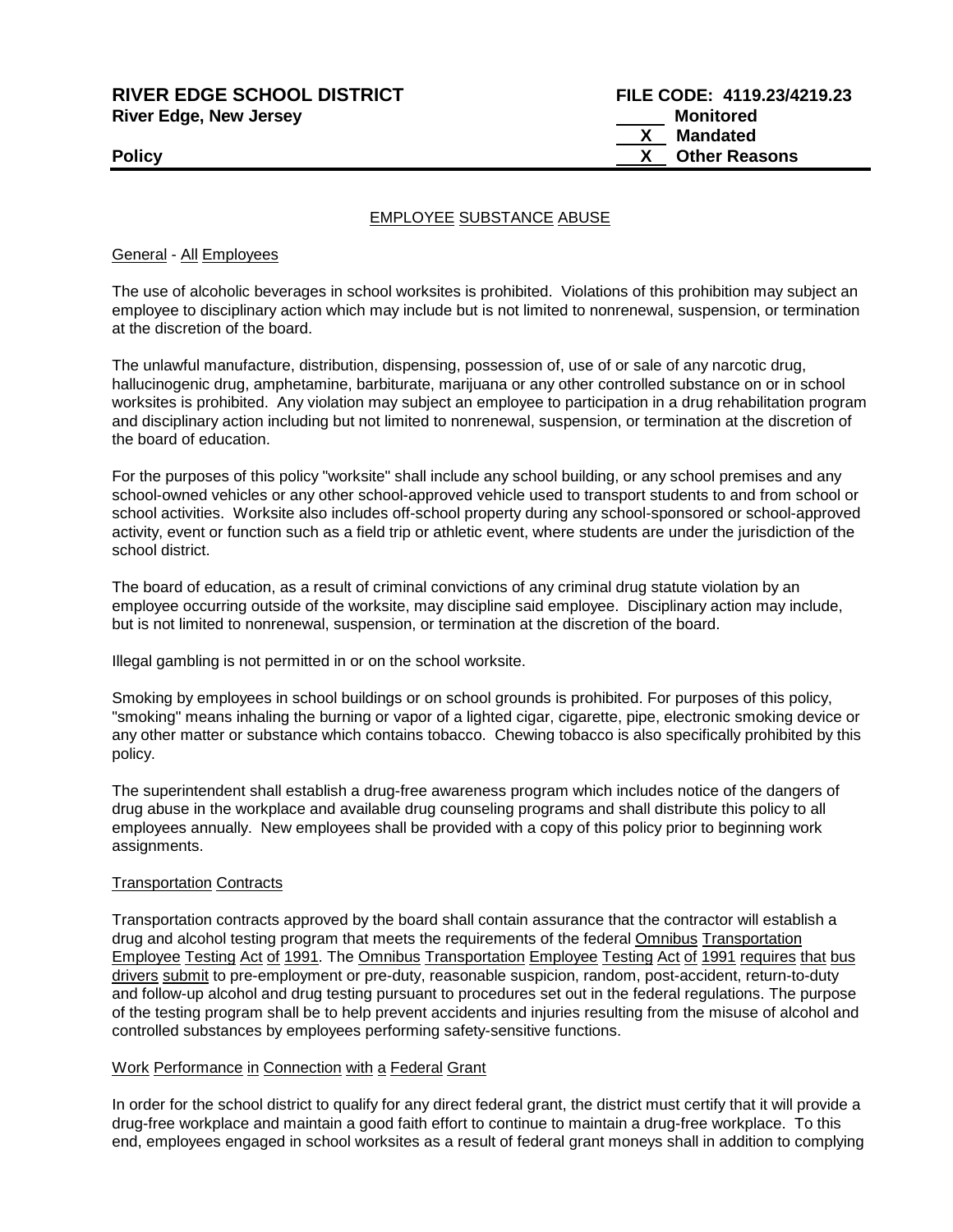**RIVER EDGE SCHOOL DISTRICT FILE CODE: 4119.23/4219.23 River Edge, New Jersey Monitored Monitored** 

 **X Mandated Policy X Other Reasons**

## EMPLOYEE SUBSTANCE ABUSE

General - All Employees

The use of alcoholic beverages in school worksites is prohibited. Violations of this prohibition may subject an employee to disciplinary action which may include but is not limited to nonrenewal, suspension, or termination at the discretion of the board.

The unlawful manufacture, distribution, dispensing, possession of, use of or sale of any narcotic drug, hallucinogenic drug, amphetamine, barbiturate, marijuana or any other controlled substance on or in school worksites is prohibited. Any violation may subject an employee to participation in a drug rehabilitation program and disciplinary action including but not limited to nonrenewal, suspension, or termination at the discretion of the board of education.

For the purposes of this policy "worksite" shall include any school building, or any school premises and any school-owned vehicles or any other school-approved vehicle used to transport students to and from school or school activities. Worksite also includes off-school property during any school-sponsored or school-approved activity, event or function such as a field trip or athletic event, where students are under the jurisdiction of the school district.

The board of education, as a result of criminal convictions of any criminal drug statute violation by an employee occurring outside of the worksite, may discipline said employee. Disciplinary action may include, but is not limited to nonrenewal, suspension, or termination at the discretion of the board.

Illegal gambling is not permitted in or on the school worksite.

Smoking by employees in school buildings or on school grounds is prohibited. For purposes of this policy, "smoking" means inhaling the burning or vapor of a lighted cigar, cigarette, pipe, electronic smoking device or any other matter or substance which contains tobacco. Chewing tobacco is also specifically prohibited by this policy.

The superintendent shall establish a drug-free awareness program which includes notice of the dangers of drug abuse in the workplace and available drug counseling programs and shall distribute this policy to all employees annually. New employees shall be provided with a copy of this policy prior to beginning work assignments.

#### Transportation Contracts

Transportation contracts approved by the board shall contain assurance that the contractor will establish a drug and alcohol testing program that meets the requirements of the federal Omnibus Transportation Employee Testing Act of 1991. The Omnibus Transportation Employee Testing Act of 1991 requires that bus drivers submit to pre-employment or pre-duty, reasonable suspicion, random, post-accident, return-to-duty and follow-up alcohol and drug testing pursuant to procedures set out in the federal regulations. The purpose of the testing program shall be to help prevent accidents and injuries resulting from the misuse of alcohol and controlled substances by employees performing safety-sensitive functions.

#### Work Performance in Connection with a Federal Grant

In order for the school district to qualify for any direct federal grant, the district must certify that it will provide a drug-free workplace and maintain a good faith effort to continue to maintain a drug-free workplace. To this end, employees engaged in school worksites as a result of federal grant moneys shall in addition to complying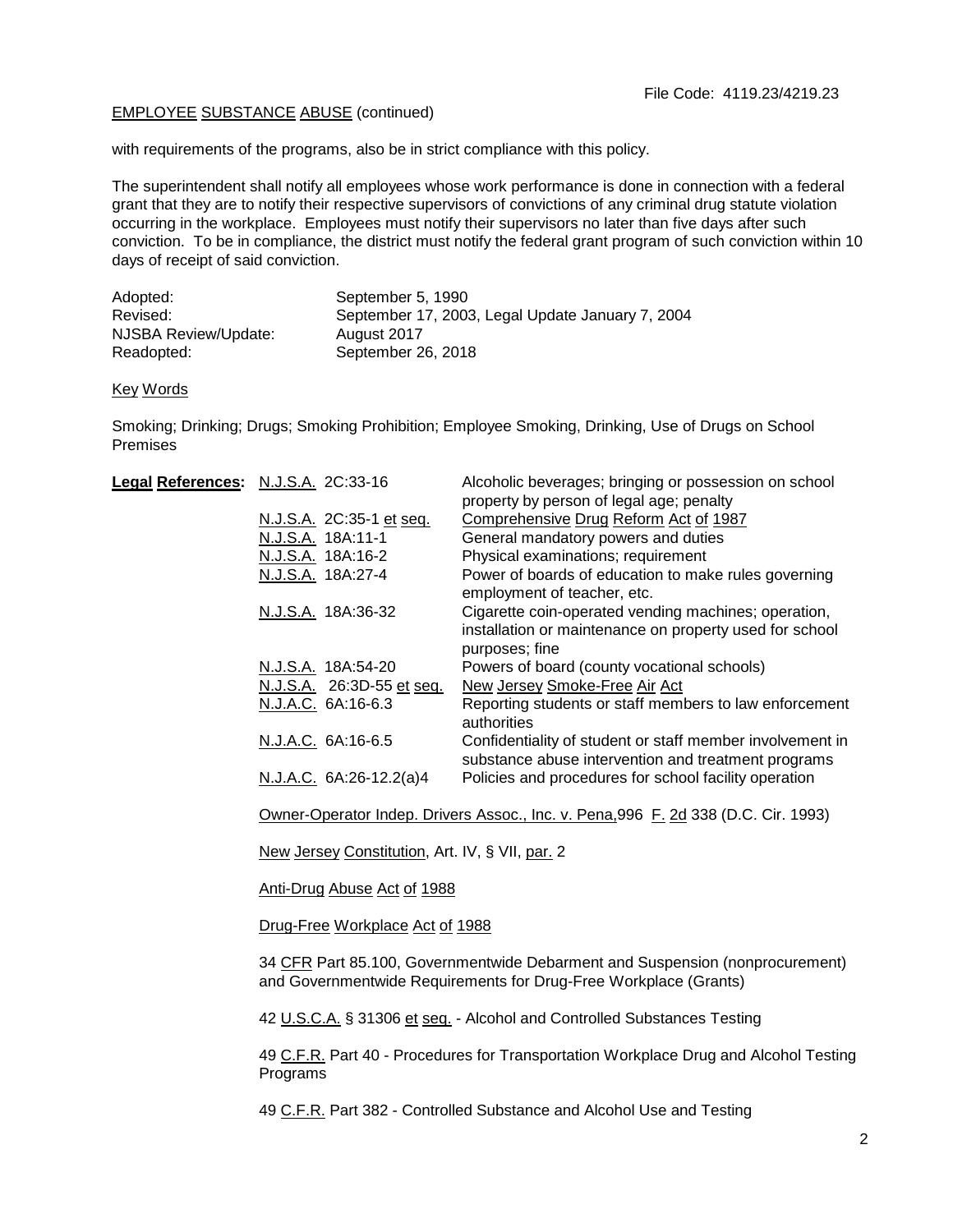### EMPLOYEE SUBSTANCE ABUSE (continued)

with requirements of the programs, also be in strict compliance with this policy.

The superintendent shall notify all employees whose work performance is done in connection with a federal grant that they are to notify their respective supervisors of convictions of any criminal drug statute violation occurring in the workplace. Employees must notify their supervisors no later than five days after such conviction. To be in compliance, the district must notify the federal grant program of such conviction within 10 days of receipt of said conviction.

| Adopted:             | September 5, 1990                                |
|----------------------|--------------------------------------------------|
| Revised:             | September 17, 2003, Legal Update January 7, 2004 |
| NJSBA Review/Update: | August 2017                                      |
| Readopted:           | September 26, 2018                               |

Key Words

Smoking; Drinking; Drugs; Smoking Prohibition; Employee Smoking, Drinking, Use of Drugs on School Premises

| Legal References: N.J.S.A. 2C:33-16 |                           | Alcoholic beverages; bringing or possession on school                                                                             |
|-------------------------------------|---------------------------|-----------------------------------------------------------------------------------------------------------------------------------|
|                                     |                           | property by person of legal age; penalty                                                                                          |
|                                     | N.J.S.A. 2C:35-1 et seq.  | Comprehensive Drug Reform Act of 1987                                                                                             |
|                                     | N.J.S.A. 18A:11-1         | General mandatory powers and duties                                                                                               |
|                                     | N.J.S.A. 18A:16-2         | Physical examinations; requirement                                                                                                |
|                                     | N.J.S.A. 18A:27-4         | Power of boards of education to make rules governing<br>employment of teacher, etc.                                               |
|                                     | N.J.S.A. 18A:36-32        | Cigarette coin-operated vending machines; operation,<br>installation or maintenance on property used for school<br>purposes; fine |
|                                     | N.J.S.A. 18A:54-20        | Powers of board (county vocational schools)                                                                                       |
|                                     | N.J.S.A. 26:3D-55 et seq. | New Jersey Smoke-Free Air Act                                                                                                     |
|                                     | N.J.A.C. 6A:16-6.3        | Reporting students or staff members to law enforcement<br>authorities                                                             |
|                                     | N.J.A.C. 6A:16-6.5        | Confidentiality of student or staff member involvement in<br>substance abuse intervention and treatment programs                  |
|                                     | N.J.A.C. 6A:26-12.2(a)4   | Policies and procedures for school facility operation                                                                             |
|                                     |                           |                                                                                                                                   |

Owner-Operator Indep. Drivers Assoc., Inc. v. Pena,996 F. 2d 338 (D.C. Cir. 1993)

New Jersey Constitution, Art. IV, § VII, par. 2

Anti-Drug Abuse Act of 1988

Drug-Free Workplace Act of 1988

34 CFR Part 85.100, Governmentwide Debarment and Suspension (nonprocurement) and Governmentwide Requirements for Drug-Free Workplace (Grants)

42 U.S.C.A. § 31306 et seq. - Alcohol and Controlled Substances Testing

49 C.F.R. Part 40 - Procedures for Transportation Workplace Drug and Alcohol Testing Programs

49 C.F.R. Part 382 - Controlled Substance and Alcohol Use and Testing